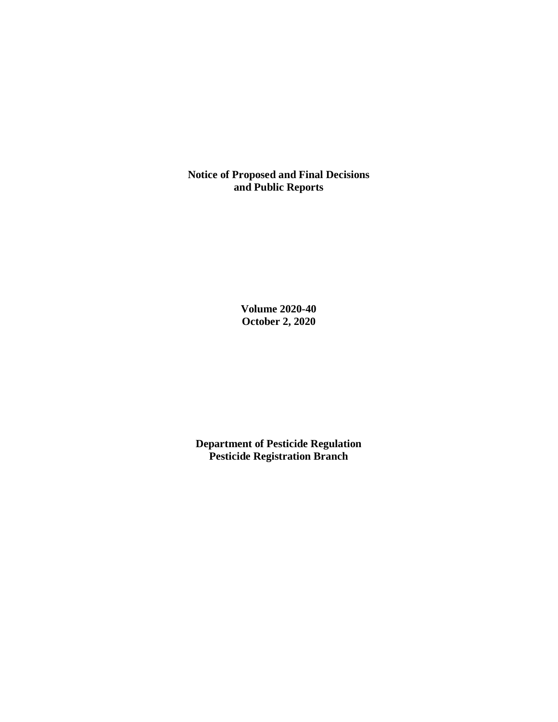**Notice of Proposed and Final Decisions and Public Reports**

> **Volume 2020-40 October 2, 2020**

**Department of Pesticide Regulation Pesticide Registration Branch**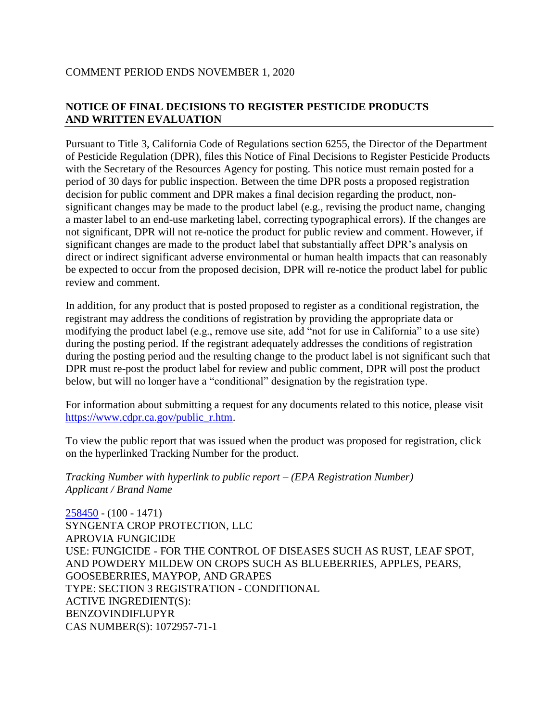# COMMENT PERIOD ENDS NOVEMBER 1, 2020

# **NOTICE OF FINAL DECISIONS TO REGISTER PESTICIDE PRODUCTS AND WRITTEN EVALUATION**

Pursuant to Title 3, California Code of Regulations section 6255, the Director of the Department of Pesticide Regulation (DPR), files this Notice of Final Decisions to Register Pesticide Products with the Secretary of the Resources Agency for posting. This notice must remain posted for a period of 30 days for public inspection. Between the time DPR posts a proposed registration decision for public comment and DPR makes a final decision regarding the product, nonsignificant changes may be made to the product label (e.g., revising the product name, changing a master label to an end-use marketing label, correcting typographical errors). If the changes are not significant, DPR will not re-notice the product for public review and comment. However, if significant changes are made to the product label that substantially affect DPR's analysis on direct or indirect significant adverse environmental or human health impacts that can reasonably be expected to occur from the proposed decision, DPR will re-notice the product label for public review and comment.

In addition, for any product that is posted proposed to register as a conditional registration, the registrant may address the conditions of registration by providing the appropriate data or modifying the product label (e.g., remove use site, add "not for use in California" to a use site) during the posting period. If the registrant adequately addresses the conditions of registration during the posting period and the resulting change to the product label is not significant such that DPR must re-post the product label for review and public comment, DPR will post the product below, but will no longer have a "conditional" designation by the registration type.

For information about submitting a request for any documents related to this notice, please visit [https://www.cdpr.ca.gov/public\\_r.htm.](https://www.cdpr.ca.gov/public_r.htm)

To view the public report that was issued when the product was proposed for registration, click on the hyperlinked Tracking Number for the product.

*Tracking Number with hyperlink to public report – (EPA Registration Number) Applicant / Brand Name*

[258450](https://www.cdpr.ca.gov/docs/registration/nod/public_reports/258450.pdf) - (100 - 1471) SYNGENTA CROP PROTECTION, LLC APROVIA FUNGICIDE USE: FUNGICIDE - FOR THE CONTROL OF DISEASES SUCH AS RUST, LEAF SPOT, AND POWDERY MILDEW ON CROPS SUCH AS BLUEBERRIES, APPLES, PEARS, GOOSEBERRIES, MAYPOP, AND GRAPES TYPE: SECTION 3 REGISTRATION - CONDITIONAL ACTIVE INGREDIENT(S): BENZOVINDIFLUPYR CAS NUMBER(S): 1072957-71-1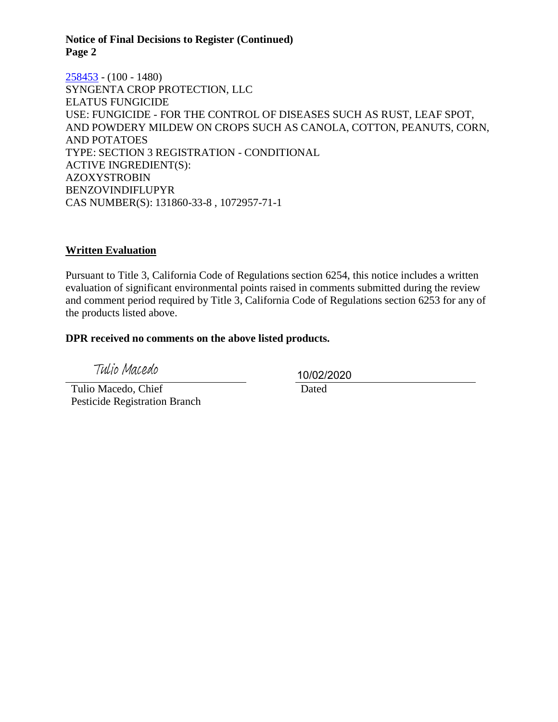### **Notice of Final Decisions to Register (Continued) Page 2**

[258453](https://www.cdpr.ca.gov/docs/registration/nod/public_reports/258453.pdf) - (100 - 1480) SYNGENTA CROP PROTECTION, LLC ELATUS FUNGICIDE USE: FUNGICIDE - FOR THE CONTROL OF DISEASES SUCH AS RUST, LEAF SPOT, AND POWDERY MILDEW ON CROPS SUCH AS CANOLA, COTTON, PEANUTS, CORN, AND POTATOES TYPE: SECTION 3 REGISTRATION - CONDITIONAL ACTIVE INGREDIENT(S): AZOXYSTROBIN BENZOVINDIFLUPYR CAS NUMBER(S): 131860-33-8 , 1072957-71-1

# **Written Evaluation**

Pursuant to Title 3, California Code of Regulations section 6254, this notice includes a written evaluation of significant environmental points raised in comments submitted during the review and comment period required by Title 3, California Code of Regulations section 6253 for any of the products listed above.

### **DPR received no comments on the above listed products.**

Tulio Macedo

 Tulio Macedo, Chief Pesticide Registration Branch 10/02/2020

Dated